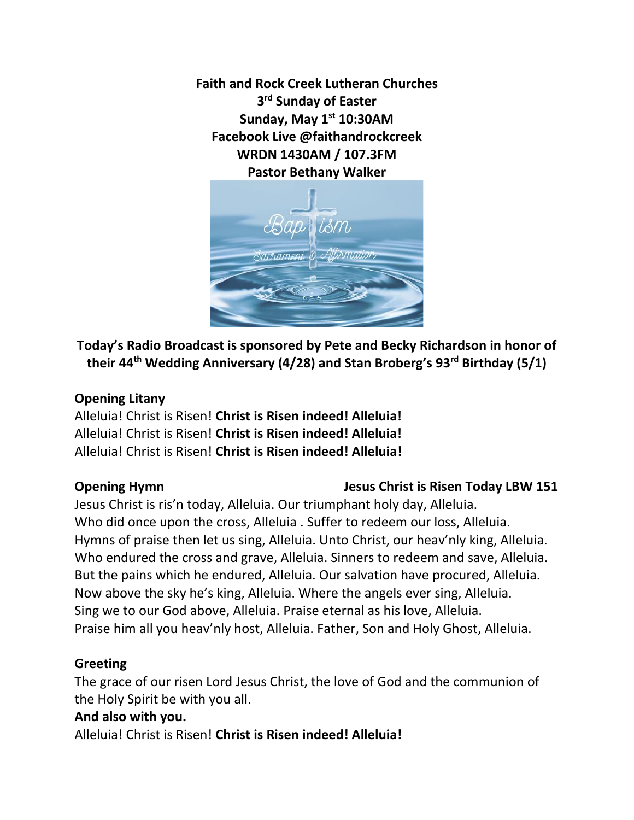**Faith and Rock Creek Lutheran Churches 3 rd Sunday of Easter Sunday, May 1st 10:30AM Facebook Live @faithandrockcreek WRDN 1430AM / 107.3FM Pastor Bethany Walker**



**Today's Radio Broadcast is sponsored by Pete and Becky Richardson in honor of their 44th Wedding Anniversary (4/28) and Stan Broberg's 93rd Birthday (5/1)**

## **Opening Litany**

Alleluia! Christ is Risen! **Christ is Risen indeed! Alleluia!** Alleluia! Christ is Risen! **Christ is Risen indeed! Alleluia!** Alleluia! Christ is Risen! **Christ is Risen indeed! Alleluia!**

# **Opening Hymn** Jesus Christ is Risen Today LBW 151

Jesus Christ is ris'n today, Alleluia. Our triumphant holy day, Alleluia. Who did once upon the cross, Alleluia . Suffer to redeem our loss, Alleluia. Hymns of praise then let us sing, Alleluia. Unto Christ, our heav'nly king, Alleluia. Who endured the cross and grave, Alleluia. Sinners to redeem and save, Alleluia. But the pains which he endured, Alleluia. Our salvation have procured, Alleluia. Now above the sky he's king, Alleluia. Where the angels ever sing, Alleluia. Sing we to our God above, Alleluia. Praise eternal as his love, Alleluia. Praise him all you heav'nly host, Alleluia. Father, Son and Holy Ghost, Alleluia.

# **Greeting**

The grace of our risen Lord Jesus Christ, the love of God and the communion of the Holy Spirit be with you all.

# **And also with you.**

Alleluia! Christ is Risen! **Christ is Risen indeed! Alleluia!**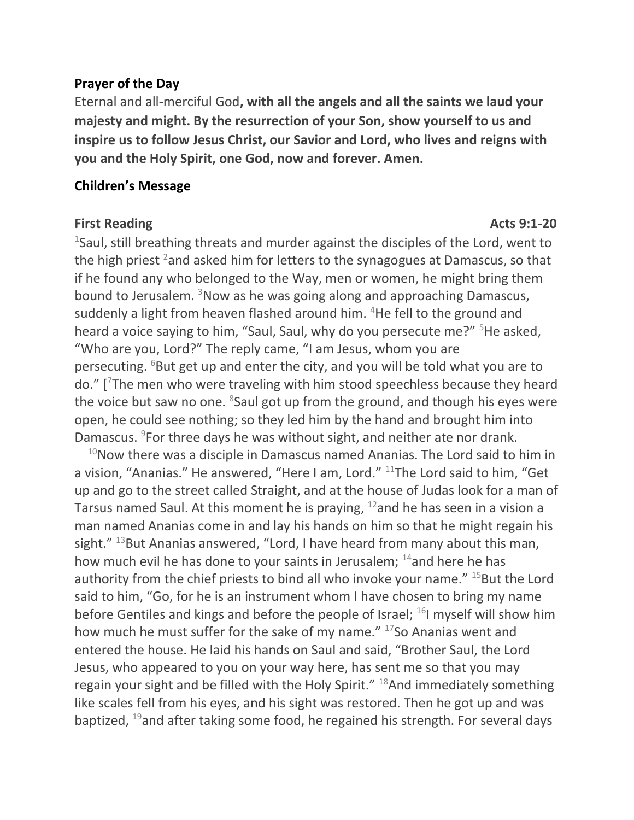### **Prayer of the Day**

Eternal and all-merciful God**, with all the angels and all the saints we laud your majesty and might. By the resurrection of your Son, show yourself to us and inspire us to follow Jesus Christ, our Savior and Lord, who lives and reigns with you and the Holy Spirit, one God, now and forever. Amen.** 

### **Children's Message**

### **First Reading Acts 9:1-20**

1 Saul, still breathing threats and murder against the disciples of the Lord, went to the high priest <sup>2</sup> and asked him for letters to the synagogues at Damascus, so that if he found any who belonged to the Way, men or women, he might bring them bound to Jerusalem. <sup>3</sup>Now as he was going along and approaching Damascus, suddenly a light from heaven flashed around him. <sup>4</sup>He fell to the ground and heard a voice saying to him, "Saul, Saul, why do you persecute me?" <sup>5</sup>He asked, "Who are you, Lord?" The reply came, "I am Jesus, whom you are persecuting. <sup>6</sup>But get up and enter the city, and you will be told what you are to do." [7The men who were traveling with him stood speechless because they heard the voice but saw no one. <sup>8</sup>Saul got up from the ground, and though his eyes were open, he could see nothing; so they led him by the hand and brought him into Damascus. <sup>9</sup>For three days he was without sight, and neither ate nor drank.

 $10$ Now there was a disciple in Damascus named Ananias. The Lord said to him in a vision, "Ananias." He answered, "Here I am, Lord." <sup>11</sup>The Lord said to him, "Get up and go to the street called Straight, and at the house of Judas look for a man of Tarsus named Saul. At this moment he is praying,  $12$  and he has seen in a vision a man named Ananias come in and lay his hands on him so that he might regain his sight."  $13$ But Ananias answered, "Lord, I have heard from many about this man, how much evil he has done to your saints in Jerusalem; <sup>14</sup>and here he has authority from the chief priests to bind all who invoke your name."  $15$ But the Lord said to him, "Go, for he is an instrument whom I have chosen to bring my name before Gentiles and kings and before the people of Israel; <sup>16</sup>I myself will show him how much he must suffer for the sake of my name." <sup>17</sup>So Ananias went and entered the house. He laid his hands on Saul and said, "Brother Saul, the Lord Jesus, who appeared to you on your way here, has sent me so that you may regain your sight and be filled with the Holy Spirit." 18And immediately something like scales fell from his eyes, and his sight was restored. Then he got up and was baptized, <sup>19</sup>and after taking some food, he regained his strength. For several days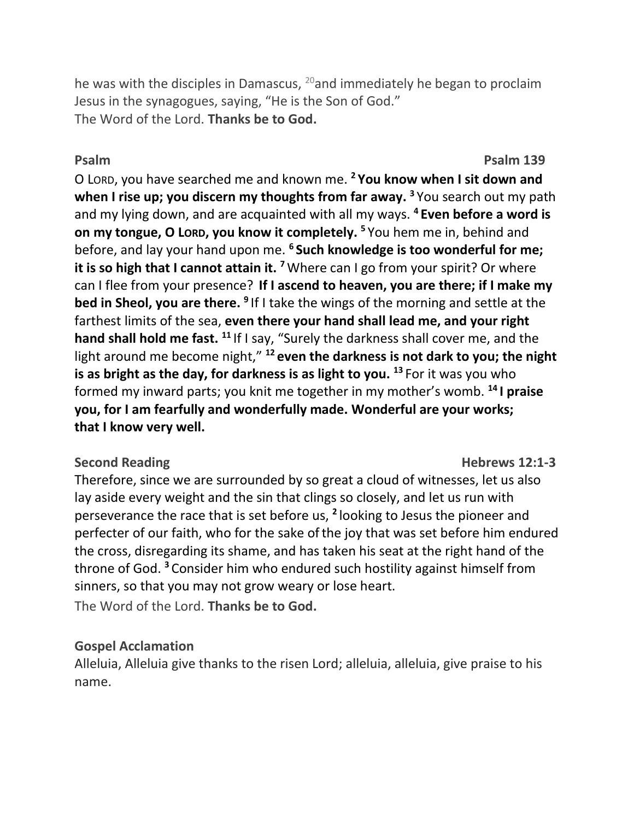he was with the disciples in Damascus,  $^{20}$  and immediately he began to proclaim Jesus in the synagogues, saying, "He is the Son of God." The Word of the Lord. **Thanks be to God.**

## **Psalm Psalm 139**

O LORD, you have searched me and known me. **<sup>2</sup> You know when I sit down and when I rise up; you discern my thoughts from far away. <sup>3</sup>** You search out my path and my lying down, and are acquainted with all my ways. **<sup>4</sup> Even before a word is on my tongue, O LORD, you know it completely.** <sup>5</sup> You hem me in, behind and before, and lay your hand upon me. **<sup>6</sup> Such knowledge is too wonderful for me; it is so high that I cannot attain it.** <sup>7</sup>Where can I go from your spirit? Or where can I flee from your presence? **If I ascend to heaven, you are there; if I make my bed in Sheol, you are there.** <sup>9</sup> If I take the wings of the morning and settle at the farthest limits of the sea, **even there your hand shall lead me, and your right hand shall hold me fast. <sup>11</sup>** If I say, "Surely the darkness shall cover me, and the light around me become night," **<sup>12</sup> even the darkness is not dark to you; the night is as bright as the day, for darkness is as light to you. <sup>13</sup>** For it was you who formed my inward parts; you knit me together in my mother's womb. **<sup>14</sup> I praise you, for I am fearfully and wonderfully made. Wonderful are your works; that I know very well.**

## **Second Reading Second Reading Second Reading Second Reading Second Reading Second Reading Second Reading Second Reading Second Reading Second Reading Second Reading Second Reading Second Reading Second Reading Second Read**

Therefore, since we are surrounded by so great a cloud of witnesses, let us also lay aside every weight and the sin that clings so closely, and let us run with perseverance the race that is set before us, **<sup>2</sup>** looking to Jesus the pioneer and perfecter of our faith, who for the sake of the joy that was set before him endured the cross, disregarding its shame, and has taken his seat at the right hand of the throne of God. **<sup>3</sup>** Consider him who endured such hostility against himself from sinners, so that you may not grow weary or lose heart. The Word of the Lord. **Thanks be to God.**

# **Gospel Acclamation**

Alleluia, Alleluia give thanks to the risen Lord; alleluia, alleluia, give praise to his name.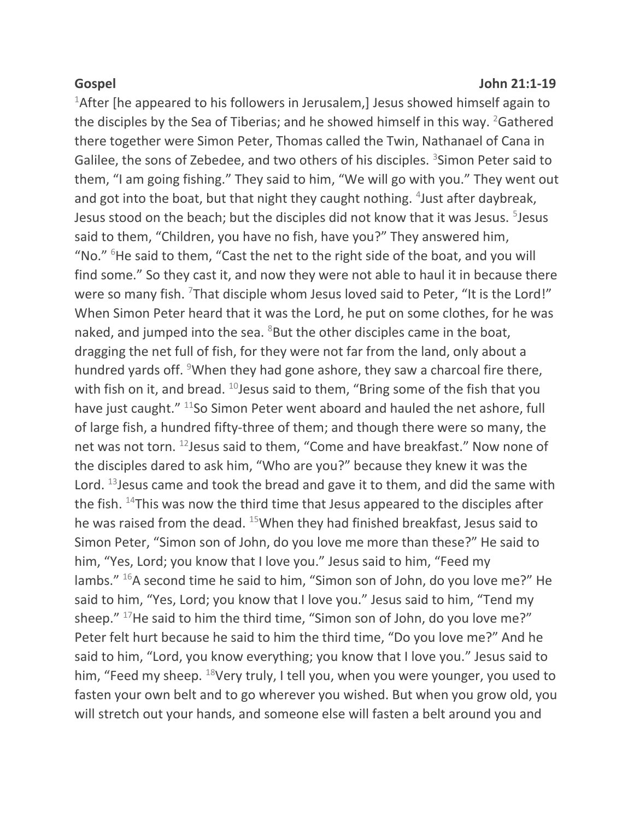### **Gospel John 21:1-19**

<sup>1</sup>After [he appeared to his followers in Jerusalem,] Jesus showed himself again to the disciples by the Sea of Tiberias; and he showed himself in this way. <sup>2</sup>Gathered there together were Simon Peter, Thomas called the Twin, Nathanael of Cana in Galilee, the sons of Zebedee, and two others of his disciples. <sup>3</sup>Simon Peter said to them, "I am going fishing." They said to him, "We will go with you." They went out and got into the boat, but that night they caught nothing. <sup>4</sup>Just after daybreak, Jesus stood on the beach; but the disciples did not know that it was Jesus. <sup>5</sup>Jesus said to them, "Children, you have no fish, have you?" They answered him, "No." <sup>6</sup>He said to them, "Cast the net to the right side of the boat, and you will find some." So they cast it, and now they were not able to haul it in because there were so many fish. <sup>7</sup>That disciple whom Jesus loved said to Peter, "It is the Lord!" When Simon Peter heard that it was the Lord, he put on some clothes, for he was naked, and jumped into the sea.  $8$ But the other disciples came in the boat, dragging the net full of fish, for they were not far from the land, only about a hundred yards off. <sup>9</sup>When they had gone ashore, they saw a charcoal fire there, with fish on it, and bread.  $^{10}$  Jesus said to them, "Bring some of the fish that you have just caught." <sup>11</sup>So Simon Peter went aboard and hauled the net ashore, full of large fish, a hundred fifty-three of them; and though there were so many, the net was not torn. <sup>12</sup>Jesus said to them, "Come and have breakfast." Now none of the disciples dared to ask him, "Who are you?" because they knew it was the Lord. <sup>13</sup> Jesus came and took the bread and gave it to them, and did the same with the fish. <sup>14</sup>This was now the third time that Jesus appeared to the disciples after he was raised from the dead. <sup>15</sup>When they had finished breakfast, Jesus said to Simon Peter, "Simon son of John, do you love me more than these?" He said to him, "Yes, Lord; you know that I love you." Jesus said to him, "Feed my lambs." <sup>16</sup>A second time he said to him, "Simon son of John, do you love me?" He said to him, "Yes, Lord; you know that I love you." Jesus said to him, "Tend my sheep." <sup>17</sup>He said to him the third time, "Simon son of John, do you love me?" Peter felt hurt because he said to him the third time, "Do you love me?" And he said to him, "Lord, you know everything; you know that I love you." Jesus said to him, "Feed my sheep. <sup>18</sup>Very truly, I tell you, when you were younger, you used to fasten your own belt and to go wherever you wished. But when you grow old, you will stretch out your hands, and someone else will fasten a belt around you and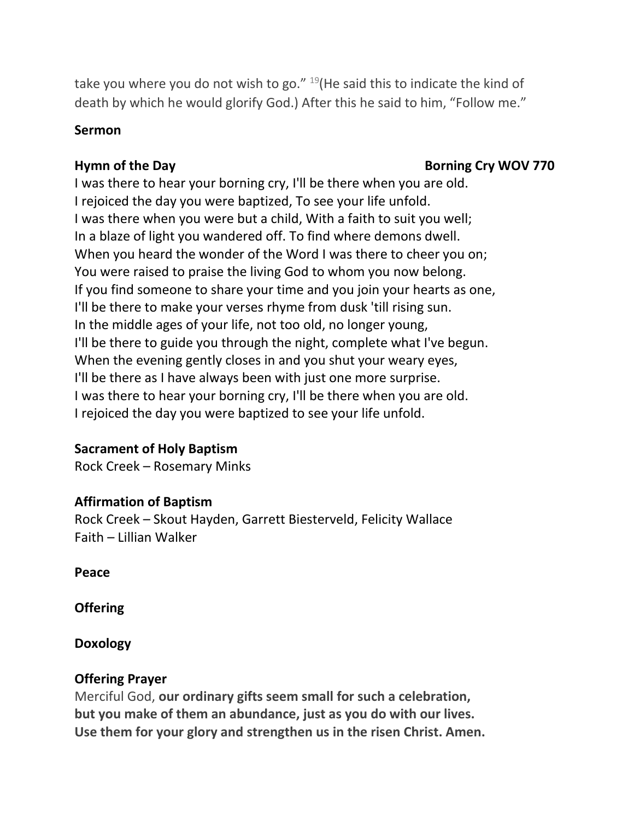take you where you do not wish to go."  $^{19}$ (He said this to indicate the kind of death by which he would glorify God.) After this he said to him, "Follow me."

## **Sermon**

# **Hymn of the Day <b>Borning Cry** WOV 770

I was there to hear your borning cry, I'll be there when you are old. I rejoiced the day you were baptized, To see your life unfold. I was there when you were but a child, With a faith to suit you well; In a blaze of light you wandered off. To find where demons dwell. When you heard the wonder of the Word I was there to cheer you on; You were raised to praise the living God to whom you now belong. If you find someone to share your time and you join your hearts as one, I'll be there to make your verses rhyme from dusk 'till rising sun. In the middle ages of your life, not too old, no longer young, I'll be there to guide you through the night, complete what I've begun. When the evening gently closes in and you shut your weary eyes, I'll be there as I have always been with just one more surprise. I was there to hear your borning cry, I'll be there when you are old. I rejoiced the day you were baptized to see your life unfold.

# **Sacrament of Holy Baptism**

Rock Creek – Rosemary Minks

# **Affirmation of Baptism**

Rock Creek – Skout Hayden, Garrett Biesterveld, Felicity Wallace Faith – Lillian Walker

**Peace**

**Offering** 

**Doxology**

# **Offering Prayer**

Merciful God, **our ordinary gifts seem small for such a celebration, but you make of them an abundance, just as you do with our lives. Use them for your glory and strengthen us in the risen Christ. Amen.**